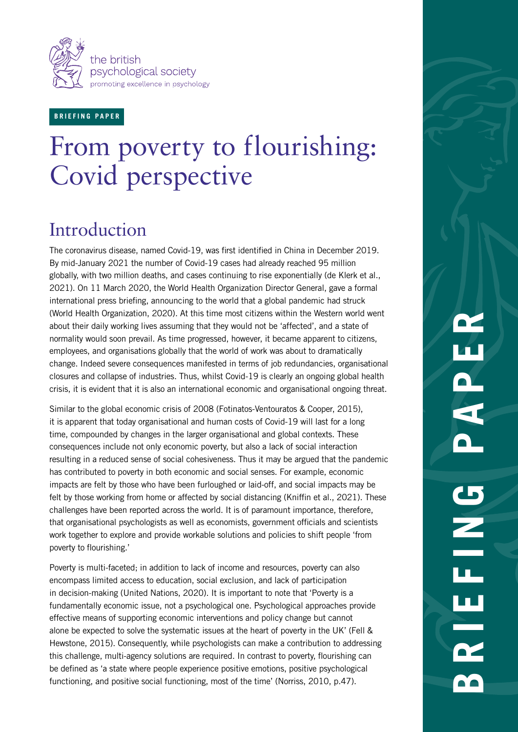

#### **B R I E F I N G P A P E R**

# From poverty to flourishing: Covid perspective

## Introduction

The coronavirus disease, named Covid-19, was first identified in China in December 2019. By mid-January 2021 the number of Covid-19 cases had already reached 95 million globally, with two million deaths, and cases continuing to rise exponentially (de Klerk et al., 2021). On 11 March 2020, the World Health Organization Director General, gave a formal international press briefing, announcing to the world that a global pandemic had struck (World Health Organization, 2020). At this time most citizens within the Western world went about their daily working lives assuming that they would not be 'affected', and a state of normality would soon prevail. As time progressed, however, it became apparent to citizens, employees, and organisations globally that the world of work was about to dramatically change. Indeed severe consequences manifested in terms of job redundancies, organisational closures and collapse of industries. Thus, whilst Covid-19 is clearly an ongoing global health crisis, it is evident that it is also an international economic and organisational ongoing threat.

Similar to the global economic crisis of 2008 (Fotinatos-Ventouratos & Cooper, 2015), it is apparent that today organisational and human costs of Covid-19 will last for a long time, compounded by changes in the larger organisational and global contexts. These consequences include not only economic poverty, but also a lack of social interaction resulting in a reduced sense of social cohesiveness. Thus it may be argued that the pandemic has contributed to poverty in both economic and social senses. For example, economic impacts are felt by those who have been furloughed or laid-off, and social impacts may be felt by those working from home or affected by social distancing (Kniffin et al., 2021). These challenges have been reported across the world. It is of paramount importance, therefore, that organisational psychologists as well as economists, government officials and scientists work together to explore and provide workable solutions and policies to shift people 'from poverty to flourishing.'

Poverty is multi-faceted; in addition to lack of income and resources, poverty can also encompass limited access to education, social exclusion, and lack of participation in decision-making (United Nations, 2020). It is important to note that 'Poverty is a fundamentally economic issue, not a psychological one. Psychological approaches provide effective means of supporting economic interventions and policy change but cannot alone be expected to solve the systematic issues at the heart of poverty in the UK' (Fell & Hewstone, 2015). Consequently, while psychologists can make a contribution to addressing this challenge, multi-agency solutions are required. In contrast to poverty, flourishing can be defined as 'a state where people experience positive emotions, positive psychological functioning, and positive social functioning, most of the time' (Norriss, 2010, p.47).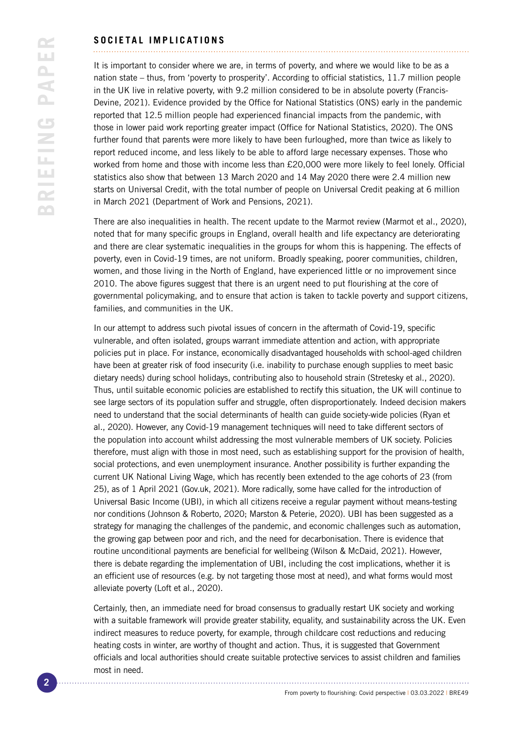#### **SOCIETAL IMPLICATIONS**

It is important to consider where we are, in terms of poverty, and where we would like to be as a nation state – thus, from 'poverty to prosperity'. According to official statistics, 11.7 million people in the UK live in relative poverty, with 9.2 million considered to be in absolute poverty (Francis-Devine, 2021). Evidence provided by the Office for National Statistics (ONS) early in the pandemic reported that 12.5 million people had experienced financial impacts from the pandemic, with those in lower paid work reporting greater impact (Office for National Statistics, 2020). The ONS further found that parents were more likely to have been furloughed, more than twice as likely to report reduced income, and less likely to be able to afford large necessary expenses. Those who worked from home and those with income less than £20,000 were more likely to feel lonely. Official statistics also show that between 13 March 2020 and 14 May 2020 there were 2.4 million new starts on Universal Credit, with the total number of people on Universal Credit peaking at 6 million in March 2021 (Department of Work and Pensions, 2021).

There are also inequalities in health. The recent update to the Marmot review (Marmot et al., 2020), noted that for many specific groups in England, overall health and life expectancy are deteriorating and there are clear systematic inequalities in the groups for whom this is happening. The effects of poverty, even in Covid-19 times, are not uniform. Broadly speaking, poorer communities, children, women, and those living in the North of England, have experienced little or no improvement since 2010. The above figures suggest that there is an urgent need to put flourishing at the core of governmental policymaking, and to ensure that action is taken to tackle poverty and support citizens, families, and communities in the UK.

In our attempt to address such pivotal issues of concern in the aftermath of Covid-19, specific vulnerable, and often isolated, groups warrant immediate attention and action, with appropriate policies put in place. For instance, economically disadvantaged households with school-aged children have been at greater risk of food insecurity (i.e. inability to purchase enough supplies to meet basic dietary needs) during school holidays, contributing also to household strain (Stretesky et al., 2020). Thus, until suitable economic policies are established to rectify this situation, the UK will continue to see large sectors of its population suffer and struggle, often disproportionately. Indeed decision makers need to understand that the social determinants of health can guide society-wide policies (Ryan et al., 2020). However, any Covid-19 management techniques will need to take different sectors of the population into account whilst addressing the most vulnerable members of UK society. Policies therefore, must align with those in most need, such as establishing support for the provision of health, social protections, and even unemployment insurance. Another possibility is further expanding the current UK National Living Wage, which has recently been extended to the age cohorts of 23 (from 25), as of 1 April 2021 (Gov.uk, 2021). More radically, some have called for the introduction of Universal Basic Income (UBI), in which all citizens receive a regular payment without means-testing nor conditions (Johnson & Roberto, 2020; Marston & Peterie, 2020). UBI has been suggested as a strategy for managing the challenges of the pandemic, and economic challenges such as automation, the growing gap between poor and rich, and the need for decarbonisation. There is evidence that routine unconditional payments are beneficial for wellbeing (Wilson & McDaid, 2021). However, there is debate regarding the implementation of UBI, including the cost implications, whether it is an efficient use of resources (e.g. by not targeting those most at need), and what forms would most alleviate poverty (Loft et al., 2020).

Certainly, then, an immediate need for broad consensus to gradually restart UK society and working with a suitable framework will provide greater stability, equality, and sustainability across the UK. Even indirect measures to reduce poverty, for example, through childcare cost reductions and reducing heating costs in winter, are worthy of thought and action. Thus, it is suggested that Government officials and local authorities should create suitable protective services to assist children and families most in need.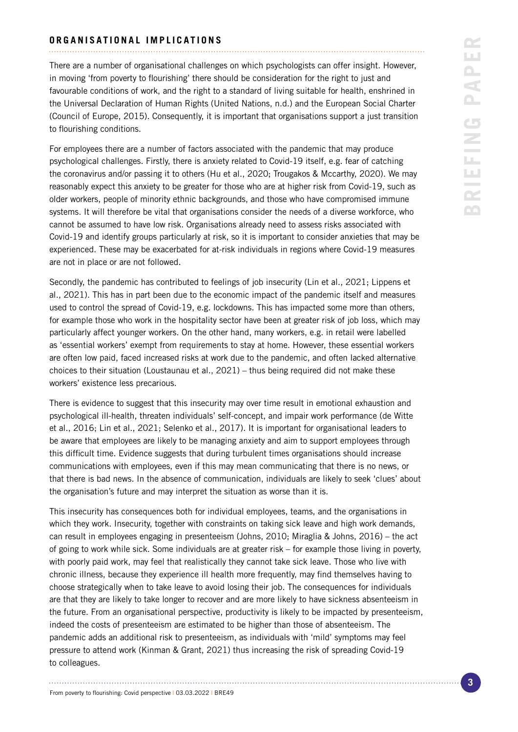#### **ORGANISATIONAL IMPLICATIONS**

There are a number of organisational challenges on which psychologists can offer insight. However, in moving 'from poverty to flourishing' there should be consideration for the right to just and favourable conditions of work, and the right to a standard of living suitable for health, enshrined in the Universal Declaration of Human Rights (United Nations, n.d.) and the European Social Charter (Council of Europe, 2015). Consequently, it is important that organisations support a just transition to flourishing conditions.

For employees there are a number of factors associated with the pandemic that may produce psychological challenges. Firstly, there is anxiety related to Covid-19 itself, e.g. fear of catching the coronavirus and/or passing it to others (Hu et al., 2020; Trougakos & Mccarthy, 2020). We may reasonably expect this anxiety to be greater for those who are at higher risk from Covid-19, such as older workers, people of minority ethnic backgrounds, and those who have compromised immune systems. It will therefore be vital that organisations consider the needs of a diverse workforce, who cannot be assumed to have low risk. Organisations already need to assess risks associated with Covid-19 and identify groups particularly at risk, so it is important to consider anxieties that may be experienced. These may be exacerbated for at-risk individuals in regions where Covid-19 measures are not in place or are not followed.

Secondly, the pandemic has contributed to feelings of job insecurity (Lin et al., 2021; Lippens et al., 2021). This has in part been due to the economic impact of the pandemic itself and measures used to control the spread of Covid-19, e.g. lockdowns. This has impacted some more than others, for example those who work in the hospitality sector have been at greater risk of job loss, which may particularly affect younger workers. On the other hand, many workers, e.g. in retail were labelled as 'essential workers' exempt from requirements to stay at home. However, these essential workers are often low paid, faced increased risks at work due to the pandemic, and often lacked alternative choices to their situation (Loustaunau et al., 2021) – thus being required did not make these workers' existence less precarious.

There is evidence to suggest that this insecurity may over time result in emotional exhaustion and psychological ill-health, threaten individuals' self-concept, and impair work performance (de Witte et al., 2016; Lin et al., 2021; Selenko et al., 2017). It is important for organisational leaders to be aware that employees are likely to be managing anxiety and aim to support employees through this difficult time. Evidence suggests that during turbulent times organisations should increase communications with employees, even if this may mean communicating that there is no news, or that there is bad news. In the absence of communication, individuals are likely to seek 'clues' about the organisation's future and may interpret the situation as worse than it is.

This insecurity has consequences both for individual employees, teams, and the organisations in which they work. Insecurity, together with constraints on taking sick leave and high work demands, can result in employees engaging in presenteeism (Johns, 2010; Miraglia & Johns, 2016) – the act of going to work while sick. Some individuals are at greater risk – for example those living in poverty, with poorly paid work, may feel that realistically they cannot take sick leave. Those who live with chronic illness, because they experience ill health more frequently, may find themselves having to choose strategically when to take leave to avoid losing their job. The consequences for individuals are that they are likely to take longer to recover and are more likely to have sickness absenteeism in the future. From an organisational perspective, productivity is likely to be impacted by presenteeism, indeed the costs of presenteeism are estimated to be higher than those of absenteeism. The pandemic adds an additional risk to presenteeism, as individuals with 'mild' symptoms may feel pressure to attend work (Kinman & Grant, 2021) thus increasing the risk of spreading Covid-19 to colleagues.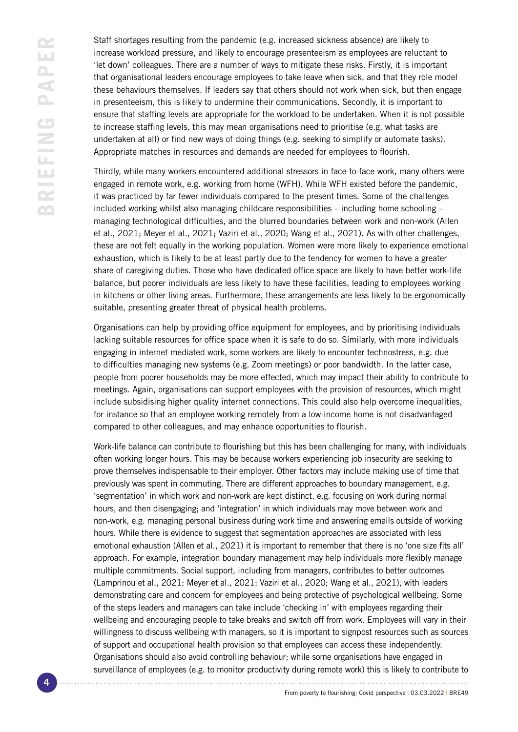Staff shortages resulting from the pandemic (e.g. increased sickness absence) are likely to increase workload pressure, and likely to encourage presenteeism as employees are reluctant to 'let down' colleagues. There are a number of ways to mitigate these risks. Firstly, it is important that organisational leaders encourage employees to take leave when sick, and that they role model these behaviours themselves. If leaders say that others should not work when sick, but then engage in presenteeism, this is likely to undermine their communications. Secondly, it is important to ensure that staffing levels are appropriate for the workload to be undertaken. When it is not possible to increase staffing levels, this may mean organisations need to prioritise (e.g. what tasks are undertaken at all) or find new ways of doing things (e.g. seeking to simplify or automate tasks). Appropriate matches in resources and demands are needed for employees to flourish.

Thirdly, while many workers encountered additional stressors in face-to-face work, many others were engaged in remote work, e.g. working from home (WFH). While WFH existed before the pandemic, it was practiced by far fewer individuals compared to the present times. Some of the challenges included working whilst also managing childcare responsibilities – including home schooling – managing technological difficulties, and the blurred boundaries between work and non-work (Allen et al., 2021; Meyer et al., 2021; Vaziri et al., 2020; Wang et al., 2021). As with other challenges, these are not felt equally in the working population. Women were more likely to experience emotional exhaustion, which is likely to be at least partly due to the tendency for women to have a greater share of caregiving duties. Those who have dedicated office space are likely to have better work-life balance, but poorer individuals are less likely to have these facilities, leading to employees working in kitchens or other living areas. Furthermore, these arrangements are less likely to be ergonomically suitable, presenting greater threat of physical health problems.

Organisations can help by providing office equipment for employees, and by prioritising individuals lacking suitable resources for office space when it is safe to do so. Similarly, with more individuals engaging in internet mediated work, some workers are likely to encounter technostress, e.g. due to difficulties managing new systems (e.g. Zoom meetings) or poor bandwidth. In the latter case, people from poorer households may be more effected, which may impact their ability to contribute to meetings. Again, organisations can support employees with the provision of resources, which might include subsidising higher quality internet connections. This could also help overcome inequalities, for instance so that an employee working remotely from a low-income home is not disadvantaged compared to other colleagues, and may enhance opportunities to flourish.

Work-life balance can contribute to flourishing but this has been challenging for many, with individuals often working longer hours. This may be because workers experiencing job insecurity are seeking to prove themselves indispensable to their employer. Other factors may include making use of time that previously was spent in commuting. There are different approaches to boundary management, e.g. 'segmentation' in which work and non-work are kept distinct, e.g. focusing on work during normal hours, and then disengaging; and 'integration' in which individuals may move between work and non-work, e.g. managing personal business during work time and answering emails outside of working hours. While there is evidence to suggest that segmentation approaches are associated with less emotional exhaustion (Allen et al., 2021) it is important to remember that there is no 'one size fits all' approach. For example, integration boundary management may help individuals more flexibly manage multiple commitments. Social support, including from managers, contributes to better outcomes (Lamprinou et al., 2021; Meyer et al., 2021; Vaziri et al., 2020; Wang et al., 2021), with leaders demonstrating care and concern for employees and being protective of psychological wellbeing. Some of the steps leaders and managers can take include 'checking in' with employees regarding their wellbeing and encouraging people to take breaks and switch off from work. Employees will vary in their willingness to discuss wellbeing with managers, so it is important to signpost resources such as sources of support and occupational health provision so that employees can access these independently. Organisations should also avoid controlling behaviour; while some organisations have engaged in surveillance of employees (e.g. to monitor productivity during remote work) this is likely to contribute to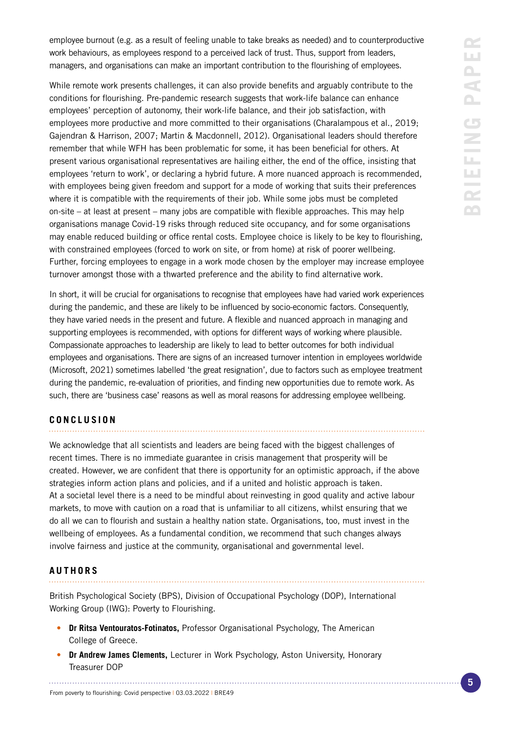employee burnout (e.g. as a result of feeling unable to take breaks as needed) and to counterproductive work behaviours, as employees respond to a perceived lack of trust. Thus, support from leaders, managers, and organisations can make an important contribution to the flourishing of employees.

While remote work presents challenges, it can also provide benefits and arguably contribute to the conditions for flourishing. Pre-pandemic research suggests that work-life balance can enhance employees' perception of autonomy, their work-life balance, and their job satisfaction, with employees more productive and more committed to their organisations (Charalampous et al., 2019; Gajendran & Harrison, 2007; Martin & Macdonnell, 2012). Organisational leaders should therefore remember that while WFH has been problematic for some, it has been beneficial for others. At present various organisational representatives are hailing either, the end of the office, insisting that employees 'return to work', or declaring a hybrid future. A more nuanced approach is recommended, with employees being given freedom and support for a mode of working that suits their preferences where it is compatible with the requirements of their job. While some jobs must be completed on-site – at least at present – many jobs are compatible with flexible approaches. This may help organisations manage Covid-19 risks through reduced site occupancy, and for some organisations may enable reduced building or office rental costs. Employee choice is likely to be key to flourishing, with constrained employees (forced to work on site, or from home) at risk of poorer wellbeing. Further, forcing employees to engage in a work mode chosen by the employer may increase employee turnover amongst those with a thwarted preference and the ability to find alternative work.

In short, it will be crucial for organisations to recognise that employees have had varied work experiences during the pandemic, and these are likely to be influenced by socio-economic factors. Consequently, they have varied needs in the present and future. A flexible and nuanced approach in managing and supporting employees is recommended, with options for different ways of working where plausible. Compassionate approaches to leadership are likely to lead to better outcomes for both individual employees and organisations. There are signs of an increased turnover intention in employees worldwide (Microsoft, 2021) sometimes labelled 'the great resignation', due to factors such as employee treatment during the pandemic, re-evaluation of priorities, and finding new opportunities due to remote work. As such, there are 'business case' reasons as well as moral reasons for addressing employee wellbeing.

### **CONCLUSION**

We acknowledge that all scientists and leaders are being faced with the biggest challenges of recent times. There is no immediate guarantee in crisis management that prosperity will be created. However, we are confident that there is opportunity for an optimistic approach, if the above strategies inform action plans and policies, and if a united and holistic approach is taken. At a societal level there is a need to be mindful about reinvesting in good quality and active labour markets, to move with caution on a road that is unfamiliar to all citizens, whilst ensuring that we do all we can to flourish and sustain a healthy nation state. Organisations, too, must invest in the wellbeing of employees. As a fundamental condition, we recommend that such changes always involve fairness and justice at the community, organisational and governmental level.

#### **AUTHORS**

British Psychological Society (BPS), Division of Occupational Psychology (DOP), International Working Group (IWG): Poverty to Flourishing.

- **• Dr Ritsa Ventouratos-Fotinatos,** Professor Organisational Psychology, The American College of Greece.
- **• Dr Andrew James Clements,** Lecturer in Work Psychology, Aston University, Honorary Treasurer DOP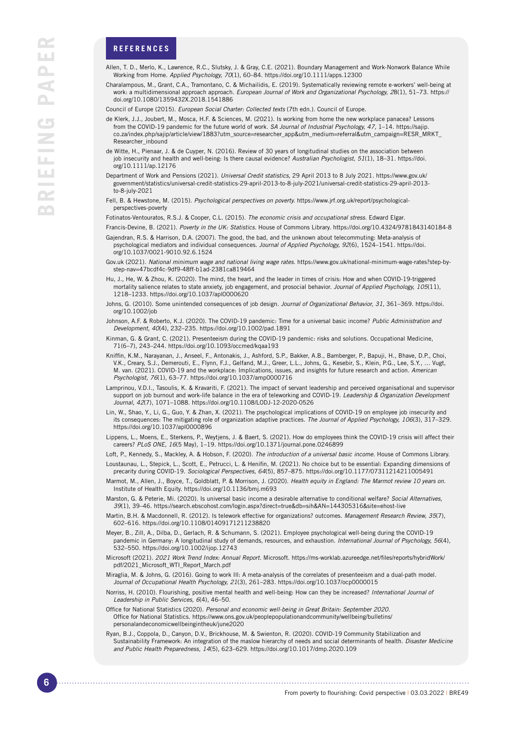#### **REFERENCES**

- Allen, T. D., Merlo, K., Lawrence, R.C., Slutsky, J. & Gray, C.E. (2021). Boundary Management and Work-Nonwork Balance While Working from Home. *Applied Psychology, 70*(1), 60–84. https://doi.org/10.1111/apps.12300
- Charalampous, M., Grant, C.A., Tramontano, C. & Michailidis, E. (2019). Systematically reviewing remote e-workers' well-being at work: a multidimensional approach approach. *European Journal of Work and Organizational Psychology, 2*8(1), 51–73. https:// doi.org/10.1080/1359432X.2018.1541886
- Council of Europe (2015). *European Social Charter: Collected texts* (7th edn.). Council of Europe.
- de Klerk, J.J., Joubert, M., Mosca, H.F. & Sciences, M. (2021). Is working from home the new workplace panacea? Lessons from the COVID-19 pandemic for the future world of work. *SA Journal of Industrial Psychology, 47,* 1–14. https://sajip. co.za/index.php/sajip/article/view/1883?utm\_source=researcher\_app&utm\_medium=referral&utm\_campaign=RESR\_MRKT\_ Researcher\_inbound
- de Witte, H., Pienaar, J. & de Cuyper, N. (2016). Review of 30 years of longitudinal studies on the association between job insecurity and health and well-being: Is there causal evidence? *Australian Psychologist, 51*(1), 18–31. https://doi. org/10.1111/ap.12176
- Department of Work and Pensions (2021). *Universal Credit statistics,* 29 April 2013 to 8 July 2021. https://www.gov.uk/ government/statistics/universal-credit-statistics-29-april-2013-to-8-july-2021/universal-credit-statistics-29-april-2013 to-8-july-2021
- Fell, B. & Hewstone, M. (2015). *Psychological perspectives on poverty.* https://www.jrf.org.uk/report/psychologicalperspectives-poverty
- Fotinatos-Ventouratos, R.S.J. & Cooper, C.L. (2015). *The economic crisis and occupational stress.* Edward Elgar.
- Francis-Devine, B. (2021). *Poverty in the UK: Statistics.* House of Commons Library. https://doi.org/10.4324/9781843140184-8
- Gajendran, R.S. & Harrison, D.A. (2007). The good, the bad, and the unknown about telecommuting: Meta-analysis of psychological mediators and individual consequences. *Journal of Applied Psychology, 92*(6), 1524–1541. https://doi. org/10.1037/0021-9010.92.6.1524
- Gov.uk (2021). *National minimum wage and national living wage rates.* https://www.gov.uk/national-minimum-wage-rates?step-bystep-nav=47bcdf4c-9df9-48ff-b1ad-2381ca819464
- Hu, J., He, W. & Zhou, K. (2020). The mind, the heart, and the leader in times of crisis: How and when COVID-19-triggered mortality salience relates to state anxiety, job engagement, and prosocial behavior. *Journal of Applied Psychology, 105*(11), 1218–1233. https://doi.org/10.1037/apl0000620
- Johns, G. (2010). Some unintended consequences of job design. *Journal of Organizational Behavior, 31,* 361–369. https://doi. org/10.1002/job
- Johnson, A.F. & Roberto, K.J. (2020). The COVID-19 pandemic: Time for a universal basic income? *Public Administration and Development, 40*(4), 232–235. https://doi.org/10.1002/pad.1891
- Kinman, G. & Grant, C. (2021). Presenteeism during the COVID-19 pandemic: risks and solutions. Occupational Medicine, 71(6–7), 243–244. https://doi.org/10.1093/occmed/kqaa193
- Kniffin, K.M., Narayanan, J., Anseel, F., Antonakis, J., Ashford, S.P., Bakker, A.B., Bamberger, P., Bapuji, H., Bhave, D.P., Choi, V.K., Creary, S.J., Demerouti, E., Flynn, F.J., Gelfand, M.J., Greer, L.L., Johns, G., Kesebir, S., Klein, P.G., Lee, S.Y., … Vugt, M. van. (2021). COVID-19 and the workplace: Implications, issues, and insights for future research and action. *American Psychologist, 76*(1), 63–77. https://doi.org/10.1037/amp0000716
- Lamprinou, V.D.I., Tasoulis, K. & Kravariti, F. (2021). The impact of servant leadership and perceived organisational and supervisor support on job burnout and work-life balance in the era of teleworking and COVID-19. *Leadership & Organization Development Journal, 42*(7), 1071–1088. https://doi.org/10.1108/LODJ-12-2020-0526
- Lin, W., Shao, Y., Li, G., Guo, Y. & Zhan, X. (2021). The psychological implications of COVID-19 on employee job insecurity and its consequences: The mitigating role of organization adaptive practices. *The Journal of Applied Psychology, 106*(3), 317–329. https://doi.org/10.1037/apl0000896
- Lippens, L., Moens, E., Sterkens, P., Weytjens, J. & Baert, S. (2021). How do employees think the COVID-19 crisis will affect their careers? *PLoS ONE, 16*(5 May), 1–19. https://doi.org/10.1371/journal.pone.0246899
- Loft, P., Kennedy, S., Mackley, A. & Hobson, F. (2020). *The introduction of a universal basic income.* House of Commons Library. Loustaunau, L., Stepick, L., Scott, E., Petrucci, L. & Henifin, M. (2021). No choice but to be essential: Expanding dimensions of
- precarity during COVID-19. *Sociological Perspectives, 64*(5), 857–875. https://doi.org/10.1177/07311214211005491 Marmot, M., Allen, J., Boyce, T., Goldblatt, P. & Morrison, J. (2020). *Health equity in England: The Marmot review 10 years on.*  Institute of Health Equity. https://doi.org/10.1136/bmj.m693
- Marston, G. & Peterie, Mi. (2020). Is universal basic income a desirable alternative to conditional welfare? *Social Alternatives, 39*(1), 39–46. https://search.ebscohost.com/login.aspx?direct=true&db=sih&AN=144305316&site=ehost-live
- Martin, B.H. & Macdonnell, R. (2012). Is telework effective for organizations? outcomes. *Management Research Review, 35*(7), 602–616. https://doi.org/10.1108/01409171211238820
- Meyer, B., Zill, A., Dilba, D., Gerlach, R. & Schumann, S. (2021). Employee psychological well-being during the COVID-19 pandemic in Germany: A longitudinal study of demands, resources, and exhaustion. *International Journal of Psychology, 56*(4), 532–550. https://doi.org/10.1002/ijop.12743
- Microsoft (2021). *2021 Work Trend Index: Annual Report.* Microsoft. https://ms-worklab.azureedge.net/files/reports/hybridWork/ pdf/2021\_Microsoft\_WTI\_Report\_March.pdf
- Miraglia, M. & Johns, G. (2016). Going to work Ill: A meta-analysis of the correlates of presenteeism and a dual-path model. *Journal of Occupational Health Psychology, 21*(3), 261–283. https://doi.org/10.1037/ocp0000015
- Norriss, H. (2010). Flourishing, positive mental health and well-being: How can they be increased? *International Journal of Leadership in Public Services, 6*(4), 46–50.
- Office for National Statistics (2020). *Personal and economic well-being in Great Britain: September 2020.*  Office for National Statistics. https://www.ons.gov.uk/peoplepopulationandcommunity/wellbeing/bulletins/ personalandeconomicwellbeingintheuk/june2020
- Ryan, B.J., Coppola, D., Canyon, D.V., Brickhouse, M. & Swienton, R. (2020). COVID-19 Community Stabilization and Sustainability Framework: An integration of the maslow hierarchy of needs and social determinants of health. *Disaster Medicine and Public Health Preparedness, 14*(5), 623–629. https://doi.org/10.1017/dmp.2020.109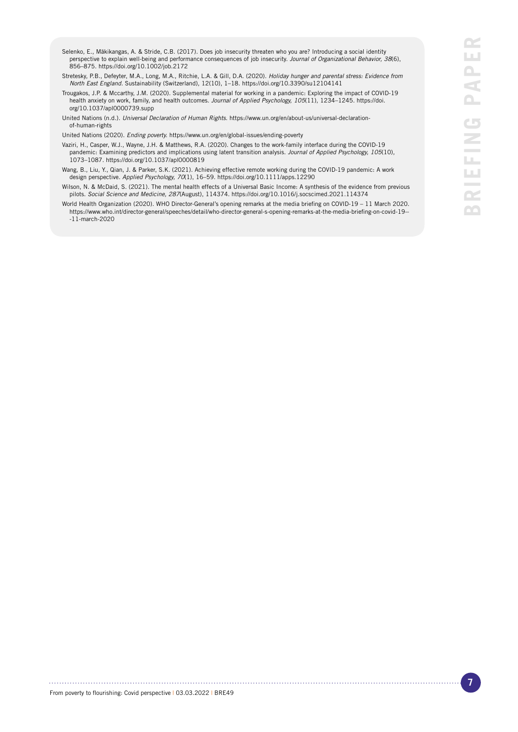- Selenko, E., Mäkikangas, A. & Stride, C.B. (2017). Does job insecurity threaten who you are? Introducing a social identity perspective to explain well-being and performance consequences of job insecurity. *Journal of Organizational Behavior, 38*(6), 856–875. https://doi.org/10.1002/job.2172
- Stretesky, P.B., Defeyter, M.A., Long, M.A., Ritchie, L.A. & Gill, D.A. (2020). *Holiday hunger and parental stress: Evidence from North East England.* Sustainability (Switzerland), 12(10), 1–18. https://doi.org/10.3390/su12104141
- Trougakos, J.P. & Mccarthy, J.M. (2020). Supplemental material for working in a pandemic: Exploring the impact of COVID-19 health anxiety on work, family, and health outcomes. *Journal of Applied Psychology, 105*(11), 1234–1245. https://doi. org/10.1037/apl0000739.supp

United Nations (n.d.). *Universal Declaration of Human Rights.* https://www.un.org/en/about-us/universal-declarationof-human-rights

United Nations (2020). *Ending poverty.* https://www.un.org/en/global-issues/ending-poverty

- Vaziri, H., Casper, W.J., Wayne, J.H. & Matthews, R.A. (2020). Changes to the work-family interface during the COVID-19 pandemic: Examining predictors and implications using latent transition analysis. *Journal of Applied Psychology, 105*(10), 1073–1087. https://doi.org/10.1037/apl0000819
- Wang, B., Liu, Y., Qian, J. & Parker, S.K. (2021). Achieving effective remote working during the COVID-19 pandemic: A work design perspective. *Applied Psychology, 70*(1), 16–59. https://doi.org/10.1111/apps.12290
- Wilson, N. & McDaid, S. (2021). The mental health effects of a Universal Basic Income: A synthesis of the evidence from previous pilots. *Social Science and Medicine, 287*(August), 114374. https://doi.org/10.1016/j.socscimed.2021.114374
- World Health Organization (2020). WHO Director-General's opening remarks at the media briefing on COVID-19 11 March 2020. https://www.who.int/director-general/speeches/detail/who-director-general-s-opening-remarks-at-the-media-briefing-on-covid-19-- -11-march-2020